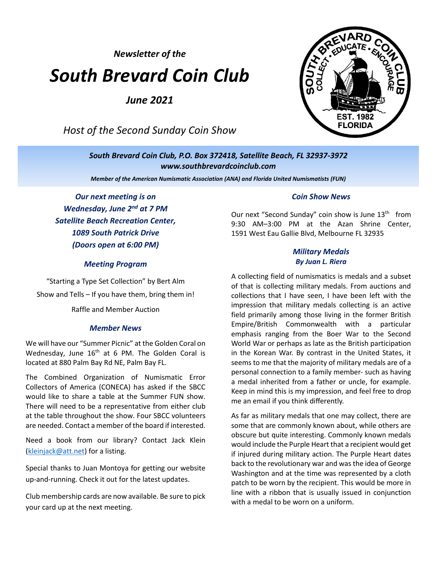*Newsletter of the*

# *South Brevard Coin Club*

*June 2021*

*Host of the Second Sunday Coin Show*



*South Brevard Coin Club, P.O. Box 372418, Satellite Beach, FL 32937-3972 [www.southbrevardcoinclub.com](http://www.southbrevardcoinclub.com/)*

*Member of the American Numismatic Association (ANA) and Florida United Numismatists (FUN)*

*Our next meeting is on Wednesday, June 2<sup>nd</sup> at 7 PM Satellite Beach Recreation Center, 1089 South Patrick Drive (Doors open at 6:00 PM)*

#### *Meeting Program*

"Starting a Type Set Collection" by Bert Alm Show and Tells – If you have them, bring them in!

Raffle and Member Auction

#### *Member News*

We will have our "Summer Picnic" at the Golden Coral on Wednesday, June 16<sup>th</sup> at 6 PM. The Golden Coral is located at 880 Palm Bay Rd NE, Palm Bay FL.

The Combined Organization of Numismatic Error Collectors of America (CONECA) has asked if the SBCC would like to share a table at the Summer FUN show. There will need to be a representative from either club at the table throughout the show. Four SBCC volunteers are needed. Contact a member of the board if interested.

Need a book from our library? Contact Jack Klein [\(kleinjack@att.net\)](mailto:kleinjack@att.net) for a listing.

Special thanks to Juan Montoya for getting our website up-and-running. Check it out for the latest updates.

Club membership cards are now available. Be sure to pick your card up at the next meeting.

#### *Coin Show News*

Our next "Second Sunday" coin show is June 13<sup>th</sup> from 9:30 AM–3:00 PM at the Azan Shrine Center, 1591 West Eau Gallie Blvd, Melbourne FL 32935

#### *Military Medals By Juan L. Riera*

A collecting field of numismatics is medals and a subset of that is collecting military medals. From auctions and collections that I have seen, I have been left with the impression that military medals collecting is an active field primarily among those living in the former British Empire/British Commonwealth with a particular emphasis ranging from the Boer War to the Second World War or perhaps as late as the British participation in the Korean War. By contrast in the United States, it seems to me that the majority of military medals are of a personal connection to a family member- such as having a medal inherited from a father or uncle, for example. Keep in mind this is my impression, and feel free to drop me an email if you think differently.

As far as military medals that one may collect, there are some that are commonly known about, while others are obscure but quite interesting. Commonly known medals would include the Purple Heart that a recipient would get if injured during military action. The Purple Heart dates back to the revolutionary war and was the idea of George Washington and at the time was represented by a cloth patch to be worn by the recipient. This would be more in line with a ribbon that is usually issued in conjunction with a medal to be worn on a uniform.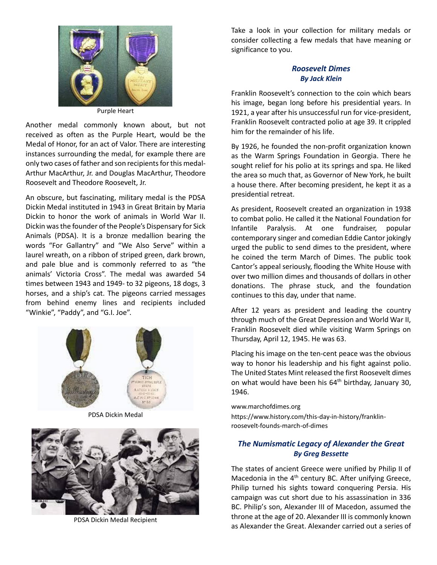

Purple Heart

Another medal commonly known about, but not received as often as the Purple Heart, would be the Medal of Honor, for an act of Valor. There are interesting instances surrounding the medal, for example there are only two cases of father and son recipients for this medal-Arthur MacArthur, Jr. and Douglas MacArthur, Theodore Roosevelt and Theodore Roosevelt, Jr.

An obscure, but fascinating, military medal is the PDSA Dickin Medal instituted in 1943 in Great Britain by Maria Dickin to honor the work of animals in World War II. Dickin was the founder of the People's Dispensary for Sick Animals (PDSA). It is a bronze medallion bearing the words "For Gallantry" and "We Also Serve" within a laurel wreath, on a ribbon of striped green, dark brown, and pale blue and is commonly referred to as "the animals' Victoria Cross". The medal was awarded 54 times between 1943 and 1949- to 32 pigeons, 18 dogs, 3 horses, and a ship's cat. The pigeons carried messages from behind enemy lines and recipients included "Winkie", "Paddy", and "G.I. Joe".



PDSA Dickin Medal



PDSA Dickin Medal Recipient

Take a look in your collection for military medals or consider collecting a few medals that have meaning or significance to you.

### *Roosevelt Dimes By Jack Klein*

Franklin Roosevelt's connection to the coin which bears his image, began long before his presidential years. In 1921, a year after his unsuccessful run for vice-president, Franklin Roosevelt contracted polio at age 39. It crippled him for the remainder of his life.

By 1926, he founded the non-profit organization known as the Warm Springs Foundation in Georgia. There he sought relief for his polio at its springs and spa. He liked the area so much that, as Governor of New York, he built a house there. After becoming president, he kept it as a presidential retreat.

As president, Roosevelt created an organization in 1938 to combat polio. He called it the National Foundation for Infantile Paralysis. At one fundraiser, popular contemporary singer and comedian Eddie Cantor jokingly urged the public to send dimes to the president, where he coined the term March of Dimes. The public took Cantor's appeal seriously, flooding the White House with over two million dimes and thousands of dollars in other donations. The phrase stuck, and the foundation continues to this day, under that name.

After 12 years as president and leading the country through much of the Great Depression and World War II, Franklin Roosevelt died while visiting Warm Springs on Thursday, April 12, 1945. He was 63.

Placing his image on the ten-cent peace was the obvious way to honor his leadership and his fight against polio. The United States Mint released the first Roosevelt dimes on what would have been his  $64<sup>th</sup>$  birthday, January 30, 1946.

[www.marchofdimes.org](http://www.marchofdimes.org/)

[https://www.history.com/this-day-in-history/franklin](https://www.history.com/this-day-in-history/franklin-roosevelt-founds-march-of-dimes)[roosevelt-founds-march-of-dimes](https://www.history.com/this-day-in-history/franklin-roosevelt-founds-march-of-dimes)

## *The Numismatic Legacy of Alexander the Great By Greg Bessette*

The states of ancient Greece were unified by Philip II of Macedonia in the  $4<sup>th</sup>$  century BC. After unifying Greece, Philip turned his sights toward conquering Persia. His campaign was cut short due to his assassination in 336 BC. Philip's son, Alexander III of Macedon, assumed the throne at the age of 20. Alexander III is commonly known as Alexander the Great. Alexander carried out a series of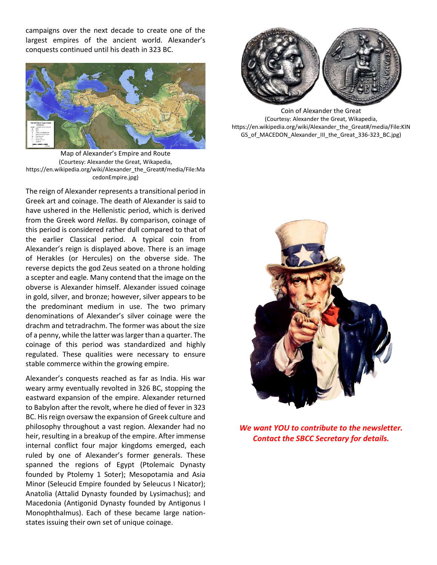campaigns over the next decade to create one of the largest empires of the ancient world. Alexander's conquests continued until his death in 323 BC.



Map of Alexander's Empire and Route (Courtesy: Alexander the Great, Wikapedia, https://en.wikipedia.org/wiki/Alexander\_the\_Great#/media/File:Ma cedonEmpire.jpg)

The reign of Alexander represents a transitional period in Greek art and coinage. The death of Alexander is said to have ushered in the Hellenistic period, which is derived from the Greek word *Hellas*. By comparison, coinage of this period is considered rather dull compared to that of the earlier Classical period. A typical coin from Alexander's reign is displayed above. There is an image of Herakles (or Hercules) on the obverse side. The reverse depicts the god Zeus seated on a throne holding a scepter and eagle. Many contend that the image on the obverse is Alexander himself. Alexander issued coinage in gold, silver, and bronze; however, silver appears to be the predominant medium in use. The two primary denominations of Alexander's silver coinage were the drachm and tetradrachm. The former was about the size of a penny, while the latter was larger than a quarter. The coinage of this period was standardized and highly regulated. These qualities were necessary to ensure stable commerce within the growing empire.

Alexander's conquests reached as far as India. His war weary army eventually revolted in 326 BC, stopping the eastward expansion of the empire. Alexander returned to Babylon after the revolt, where he died of fever in 323 BC. His reign oversaw the expansion of Greek culture and philosophy throughout a vast region. Alexander had no heir, resulting in a breakup of the empire. After immense internal conflict four major kingdoms emerged, each ruled by one of Alexander's former generals. These spanned the regions of Egypt (Ptolemaic Dynasty founded by Ptolemy 1 Soter); Mesopotamia and Asia Minor (Seleucid Empire founded by Seleucus I Nicator); Anatolia (Attalid Dynasty founded by Lysimachus); and Macedonia (Antigonid Dynasty founded by Antigonus I Monophthalmus). Each of these became large nationstates issuing their own set of unique coinage.



Coin of Alexander the Great (Courtesy: Alexander the Great, Wikapedia, [https://en.wikipedia.org/wiki/Alexander\\_the\\_Great#/media/File:KIN](https://en.wikipedia.org/wiki/Alexander_the_Great#/media/File:KINGS_of_MACEDON_Alexander_III_the_Great_336-323_BC.jpg) [GS\\_of\\_MACEDON\\_Alexander\\_III\\_the\\_Great\\_336-323\\_BC.jpg\)](https://en.wikipedia.org/wiki/Alexander_the_Great#/media/File:KINGS_of_MACEDON_Alexander_III_the_Great_336-323_BC.jpg)



*We want YOU to contribute to the newsletter. Contact the SBCC Secretary for details.*